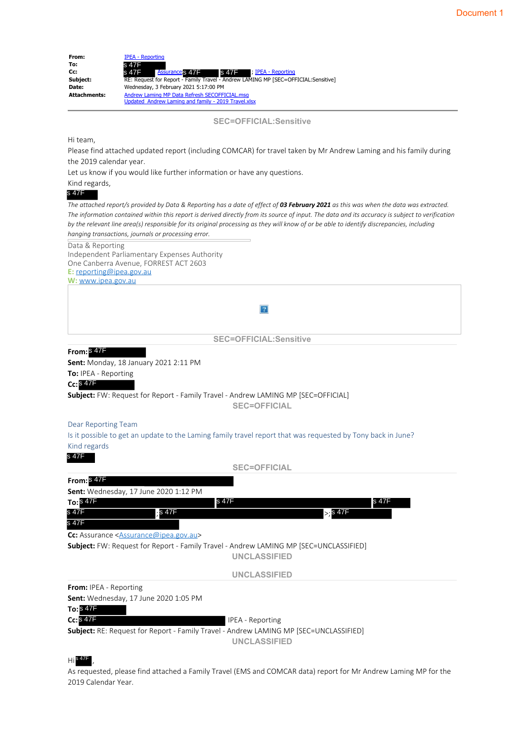| From:               | <b>IPEA - Reporting</b>                                                            |
|---------------------|------------------------------------------------------------------------------------|
| To:                 | s 47F                                                                              |
| Cc:                 | <b>Assurance's 47F</b><br>s 47F                                                    |
| Subject:            | RE: Request for Report - Family Travel - Andrew LAMING MP [SEC=OFFICIAL:Sensitive] |
| Date:               | Wednesday, 3 February 2021 5:17:00 PM                                              |
| <b>Attachments:</b> | Andrew Laming MP Data Refresh SECOFFICIAL.msg                                      |
|                     | Updated Andrew Laming and family - 2019 Travel.xlsx                                |

**SEC=OFFICIAL:Sensitive**

#### Hi team,

Please find attached updated report (including COMCAR) for travel taken by Mr Andrew Laming and his family during the 2019 calendar year.

Let us know if you would like further information or have any questions.

#### Kind regards,

*The attached report/s provided by Data & Reporting has a date of effect of 03 February 2021 as this was when the data was extracted. The information contained within this report is derived directly from its source of input. The data and its accuracy is subject to verification by the relevant line area(s) responsible for its original processing as they will know of or be able to identify discrepancies, including hanging transactions, journals or processing error.* Data & Reporting

Independent Parliamentary Expenses Authority One Canberra Avenue, FORREST ACT 2603 **E:** reporting@ipea.gov.au **W:** www.ipea.gov.au

 $|2|$ 

**SEC=OFFICIAL:Sensitive**

#### **From:** s 47F

**Sent:** Monday, 18 January 2021 2:11 PM

**To:** IPEA - Reporting

#### **Cc:** s 47F

**Subject:** FW: Request for Report - Family Travel - Andrew LAMING MP [SEC=OFFICIAL]

**SEC=OFFICIAL**

#### Dear Reporting Team

Is it possible to get an update to the Laming family travel report that was requested by Tony back in June? Kind regards

#### s 47F

**SEC=OFFICIAL**

#### **From:** s 47F **Sent:** Wednesday, 17 June 2020 1:12 PM

| To: $$47F$                    |                                                    | s 47F               |                                                                                              | s 47F |
|-------------------------------|----------------------------------------------------|---------------------|----------------------------------------------------------------------------------------------|-------|
| s 47F                         | s 47F                                              |                     | $>$ :s 47F                                                                                   |       |
| s 47F                         |                                                    |                     |                                                                                              |       |
|                               | <b>Cc:</b> Assurance $\leq$ Assurance@ipea.gov.au> |                     |                                                                                              |       |
|                               |                                                    |                     | <b>Subject:</b> FW: Request for Report - Family Travel - Andrew LAMING MP [SEC=UNCLASSIFIED] |       |
|                               |                                                    | <b>UNCLASSIFIED</b> |                                                                                              |       |
|                               |                                                    | <b>UNCLASSIFIED</b> |                                                                                              |       |
| <b>From:</b> IPEA - Reporting |                                                    |                     |                                                                                              |       |
|                               | <b>Sent:</b> Wednesday, 17 June 2020 1:05 PM       |                     |                                                                                              |       |
| To: $847F$                    |                                                    |                     |                                                                                              |       |

**To:**  $Cc:$   $S$  47F

**Cc:** IPEA - Reporting

**Subject:** RE: Request for Report - Family Travel - Andrew LAMING MP [SEC=UNCLASSIFIED]

**UNCLASSIFIED**

#### $\mathsf{Hi}^\mathsf{s\,47F}$  ,

As requested, please find attached a Family Travel (EMS and COMCAR data) report for Mr Andrew Laming MP for the 2019 Calendar Year.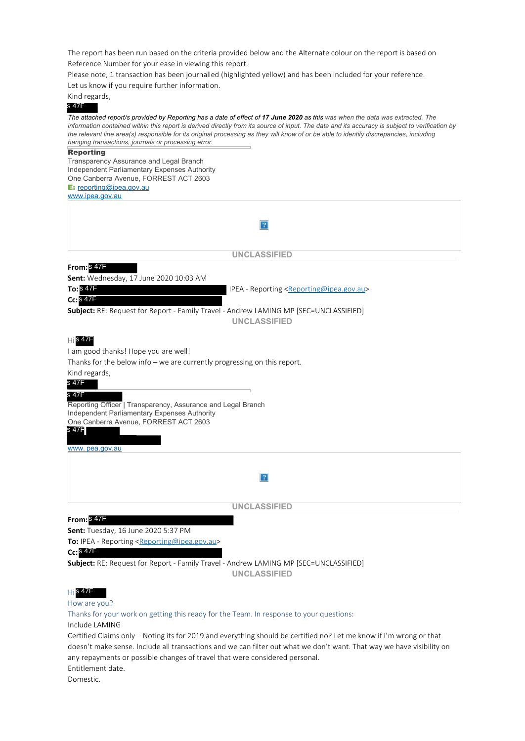The report has been run based on the criteria provided below and the Alternate colour on the report is based on Reference Number for your ease in viewing this report.

Please note, 1 transaction has been journalled (highlighted yellow) and has been included for your reference.

Let us know if you require further information.

Kind regards,

| s 47F                                                                                                                                          |
|------------------------------------------------------------------------------------------------------------------------------------------------|
| The attached report/s provided by Reporting has a date of effect of 17 June 2020 as this was when the data was extracted. The                  |
| information contained within this report is derived directly from its source of input. The data and its accuracy is subject to verification by |
| the relevant line area(s) responsible for its original processing as they will know of or be able to identify discrepancies, including         |
| hanging transactions, journals or processing error.                                                                                            |
| <b>Reporting</b>                                                                                                                               |
| Transparency Assurance and Legal Branch                                                                                                        |
| Independent Parliamentary Expenses Authority                                                                                                   |
| One Canberra Avenue, FORREST ACT 2603                                                                                                          |
| E: reporting@ipea.gov.au                                                                                                                       |
| www.ipea.gov.au                                                                                                                                |
|                                                                                                                                                |
| $\boldsymbol{?}$                                                                                                                               |
|                                                                                                                                                |
|                                                                                                                                                |
| <b>UNCLASSIFIED</b>                                                                                                                            |
| From: 847F                                                                                                                                     |
| <b>Sent:</b> Wednesday, 17 June 2020 10:03 AM                                                                                                  |
| To: $847F$                                                                                                                                     |
| IPEA - Reporting <reporting@ipea.gov.au></reporting@ipea.gov.au>                                                                               |
| $CciS$ 47F                                                                                                                                     |
| Subject: RE: Request for Report - Family Travel - Andrew LAMING MP [SEC=UNCLASSIFIED]                                                          |
| <b>UNCLASSIFIED</b>                                                                                                                            |
|                                                                                                                                                |
| <b>His 47F</b>                                                                                                                                 |
| I am good thanks! Hope you are well!                                                                                                           |
| Thanks for the below info $-$ we are currently progressing on this report.                                                                     |
| Kind regards,                                                                                                                                  |
| s 47F                                                                                                                                          |
| s 47F                                                                                                                                          |
|                                                                                                                                                |
| Reporting Officer   Transparency, Assurance and Legal Branch                                                                                   |
| Independent Parliamentary Expenses Authority<br>One Canberra Avenue, FORREST ACT 2603                                                          |
| s 47F                                                                                                                                          |
|                                                                                                                                                |
| www.pea.gov.au                                                                                                                                 |
|                                                                                                                                                |
|                                                                                                                                                |
| ?                                                                                                                                              |
|                                                                                                                                                |
|                                                                                                                                                |
| <b>UNCLASSIFIED</b>                                                                                                                            |
| From: \$47F                                                                                                                                    |
| Sent: Tuesday, 16 June 2020 5:37 PM                                                                                                            |
| To: IPEA - Reporting <reporting@ipea.gov.au></reporting@ipea.gov.au>                                                                           |
| Cc: S 47F                                                                                                                                      |
| Subject: RE: Request for Report - Family Travel - Andrew LAMING MP [SEC=UNCLASSIFIED]                                                          |
| <b>UNCLASSIFIED</b>                                                                                                                            |
|                                                                                                                                                |
| $H$ s 47F                                                                                                                                      |
|                                                                                                                                                |

### How are you?

Thanks for your work on getting this ready for the Team. In response to your questions:

Include LAMING

Certified Claims only – Noting its for 2019 and everything should be certified no? Let me know if I'm wrong or that doesn't make sense. Include all transactions and we can filter out what we don't want. That way we have visibility on any repayments or possible changes of travel that were considered personal. Entitlement date.

Domestic.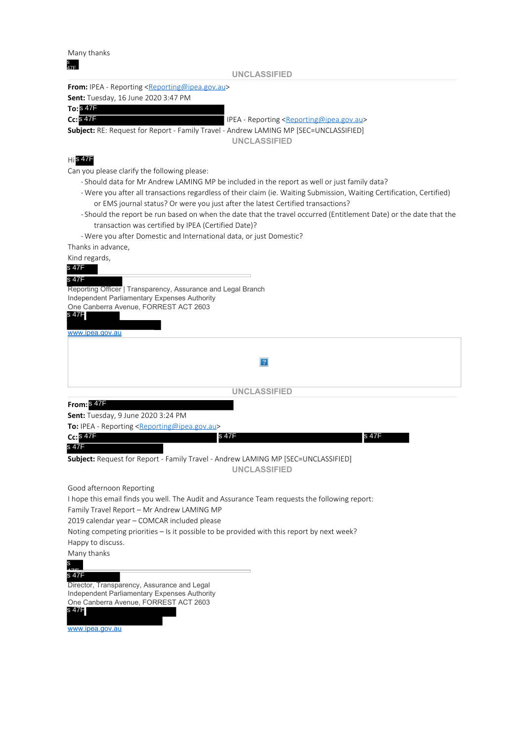Many thanks

| s<br>47F                                                                                                                                  |                                                                                                                        |
|-------------------------------------------------------------------------------------------------------------------------------------------|------------------------------------------------------------------------------------------------------------------------|
|                                                                                                                                           | <b>UNCLASSIFIED</b>                                                                                                    |
| From: IPEA - Reporting <reporting@ipea.gov.au></reporting@ipea.gov.au>                                                                    |                                                                                                                        |
| <b>Sent:</b> Tuesday, 16 June 2020 3:47 PM                                                                                                |                                                                                                                        |
| $To:$ $S$ $47F$<br>$Cc:$ $S$ $47F$                                                                                                        |                                                                                                                        |
| <b>Subject:</b> RE: Request for Report - Family Travel - Andrew LAMING MP [SEC=UNCLASSIFIED]                                              | IPEA - Reporting <reporting@ipea.gov.au></reporting@ipea.gov.au>                                                       |
|                                                                                                                                           | <b>UNCLASSIFIED</b>                                                                                                    |
|                                                                                                                                           |                                                                                                                        |
| $H$ s 47F                                                                                                                                 |                                                                                                                        |
| Can you please clarify the following please:                                                                                              |                                                                                                                        |
|                                                                                                                                           | - Should data for Mr Andrew LAMING MP be included in the report as well or just family data?                           |
|                                                                                                                                           | - Were you after all transactions regardless of their claim (ie. Waiting Submission, Waiting Certification, Certified) |
|                                                                                                                                           | or EMS journal status? Or were you just after the latest Certified transactions?                                       |
|                                                                                                                                           | -Should the report be run based on when the date that the travel occurred (Entitlement Date) or the date that the      |
| transaction was certified by IPEA (Certified Date)?<br>- Were you after Domestic and International data, or just Domestic?                |                                                                                                                        |
| Thanks in advance,                                                                                                                        |                                                                                                                        |
| Kind regards,                                                                                                                             |                                                                                                                        |
| s 47F                                                                                                                                     |                                                                                                                        |
| s 47F                                                                                                                                     |                                                                                                                        |
| Reporting Officer   Transparency, Assurance and Legal Branch                                                                              |                                                                                                                        |
| Independent Parliamentary Expenses Authority                                                                                              |                                                                                                                        |
| One Canberra Avenue, FORREST ACT 2603<br>s 47F                                                                                            |                                                                                                                        |
|                                                                                                                                           |                                                                                                                        |
| www.ipea.gov.au                                                                                                                           |                                                                                                                        |
|                                                                                                                                           |                                                                                                                        |
|                                                                                                                                           | 2                                                                                                                      |
|                                                                                                                                           |                                                                                                                        |
|                                                                                                                                           | <b>UNCLASSIFIED</b>                                                                                                    |
| From: \$47F                                                                                                                               |                                                                                                                        |
| <b>Sent:</b> Tuesday, 9 June 2020 3:24 PM                                                                                                 |                                                                                                                        |
| To: IPEA - Reporting <reporting@ipea.gov.au></reporting@ipea.gov.au>                                                                      |                                                                                                                        |
| <b>Cc: S 47F</b>                                                                                                                          | s 47F<br>s 47F                                                                                                         |
| s 47F                                                                                                                                     |                                                                                                                        |
| Subject: Request for Report - Family Travel - Andrew LAMING MP [SEC=UNCLASSIFIED]                                                         |                                                                                                                        |
|                                                                                                                                           | <b>UNCLASSIFIED</b>                                                                                                    |
|                                                                                                                                           |                                                                                                                        |
| Good afternoon Reporting                                                                                                                  |                                                                                                                        |
|                                                                                                                                           | I hope this email finds you well. The Audit and Assurance Team requests the following report:                          |
| Family Travel Report - Mr Andrew LAMING MP                                                                                                |                                                                                                                        |
| 2019 calendar year - COMCAR included please<br>Noting competing priorities - Is it possible to be provided with this report by next week? |                                                                                                                        |
| Happy to discuss.                                                                                                                         |                                                                                                                        |
| Many thanks                                                                                                                               |                                                                                                                        |
| $\frac{S}{\sqrt{2}}$                                                                                                                      |                                                                                                                        |

### 47F s 47F

Director, Transparency, Assurance and Legal Independent Parliamentary Expenses Authority One Canberra Avenue, FORREST ACT 2603



www.ipea.gov.au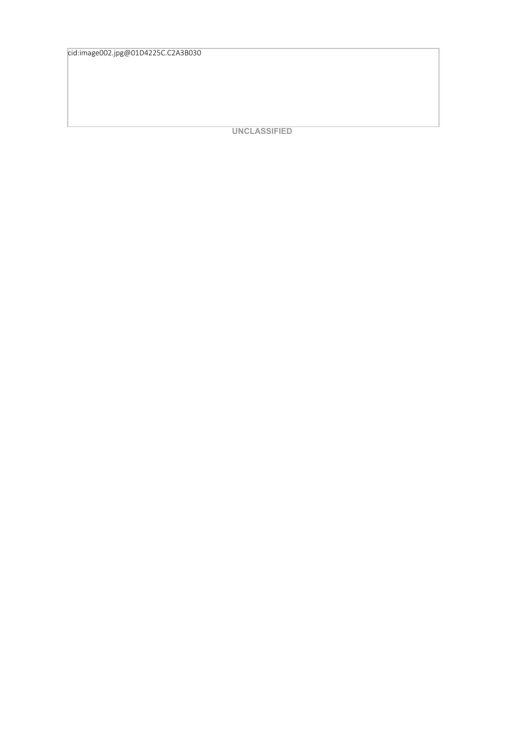cid:image002.jpg@01D4225C.C2A3B030

**UNCLASSIFIED**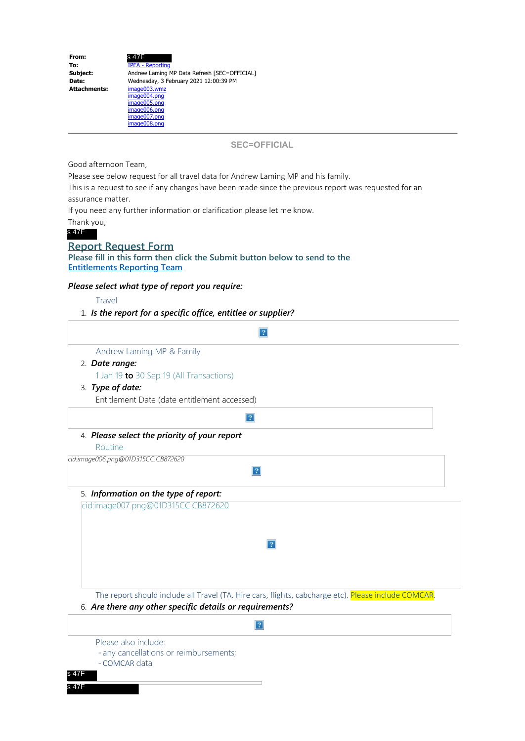| From:               | s 47F                                                                                        |
|---------------------|----------------------------------------------------------------------------------------------|
| To:                 | <b>IPEA - Reporting</b>                                                                      |
| Subject:            | Andrew Laming MP Data Refresh [SEC=OFFICIAL]                                                 |
| Date:               | Wednesday, 3 February 2021 12:00:39 PM                                                       |
| <b>Attachments:</b> | image003.wmz<br>image004.png<br>image005.png<br>image006.png<br>image007.png<br>image008.png |

**SEC=OFFICIAL**

Good afternoon Team,

Please see below request for all travel data for Andrew Laming MP and his family.

This is a request to see if any changes have been made since the previous report was requested for an assurance matter.

If you need any further information or clarification please let me know.

Thank you,

s 47F

# **Report Request Form**

**Please fill in this form then click the Submit button below to send to the Entitlements Reporting Team**

### *Please select what type of report you require:*

Travel

### 1. *Is the report for a specific office, entitlee or supplier?*

| Andrew Laming MP & Family                    |                |
|----------------------------------------------|----------------|
| 2. Date range:                               |                |
| 1 Jan 19 to 30 Sep 19 (All Transactions)     |                |
| 3. Type of date:                             |                |
| Entitlement Date (date entitlement accessed) |                |
|                                              |                |
| 4. Please select the priority of your report |                |
| Routine                                      |                |
| cid:image006.png@01D315CC.CB872620           |                |
|                                              | $\overline{?}$ |
| 5. Information on the type of report:        |                |
| cid:image007.png@01D315CC.CB872620           |                |
|                                              |                |
|                                              |                |
|                                              | $\overline{?}$ |
|                                              |                |
|                                              |                |
|                                              |                |

6. *Are there any other specific details or requirements?*

## $\boldsymbol{?}$

Please also include:

- any cancellations or reimbursements;
- COMCAR data

s 47F s 47F